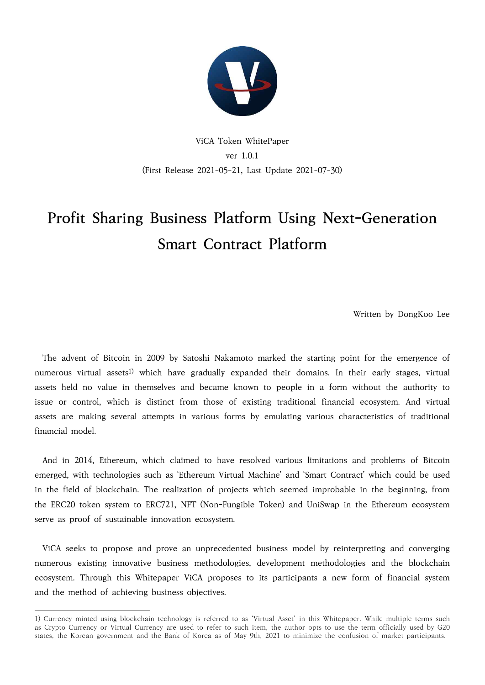

ViCA Token WhitePaper ver 101 (First Release 2021-05-21, Last Update 2021-07-30)

# **Profit Sharing Business Platform Using Next-Generation Smart Contract Platform**

Written by DongKoo Lee

 The advent of Bitcoin in 2009 by Satoshi Nakamoto marked the starting point for the emergence of numerous virtual assets<sup>1)</sup> which have gradually expanded their domains. In their early stages, virtual assets held no value in themselves and became known to people in a form without the authority to issue or control, which is distinct from those of existing traditional financial ecosystem. And virtual assets are making several attempts in various forms by emulating various characteristics of traditional financial model.

 And in 2014, Ethereum, which claimed to have resolved various limitations and problems of Bitcoin emerged, with technologies such as 'Ethereum Virtual Machine' and 'Smart Contract' which could be used in the field of blockchain. The realization of projects which seemed improbable in the beginning, from the ERC20 token system to ERC721, NFT (Non-Fungible Token) and UniSwap in the Ethereum ecosystem serve as proof of sustainable innovation ecosystem.

 ViCA seeks to propose and prove an unprecedented business model by reinterpreting and converging numerous existing innovative business methodologies, development methodologies and the blockchain ecosystem. Through this Whitepaper ViCA proposes to its participants a new form of financial system and the method of achieving business objectives.

<sup>1)</sup> Currency minted using blockchain technology is referred to as 'Virtual Asset' in this Whitepaper. While multiple terms such as Crypto Currency or Virtual Currency are used to refer to such item, the author opts to use t states, the Korean government and the Bank of Korea as of May 9th, 2021 to minimize the confusion of market participants.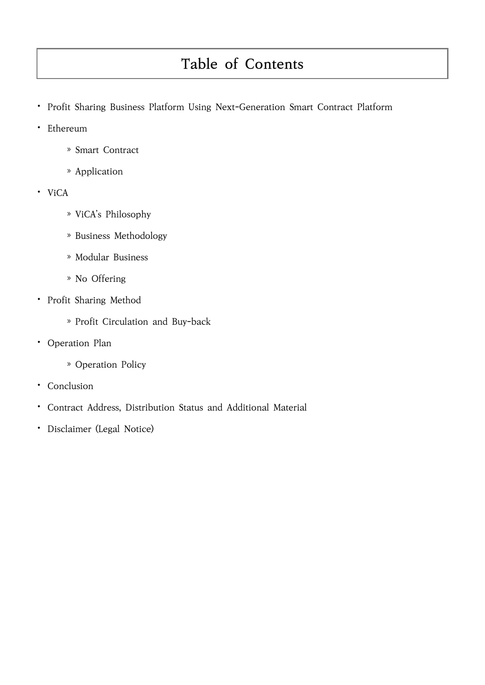## **Table of Contents**

- ⦁ Profit Sharing Business Platform Using Next-Generation Smart Contract Platform
- ⦁ Ethereum
	- » Smart Contract
	- » Application
- ⦁ ViCA
	- » ViCA's Philosophy
	- » Business Methodology
	- » Modular Business
	- » No Offering
- ⦁ Profit Sharing Method
	- » Profit Circulation and Buy-back
- ⦁ Operation Plan
	- » Operation Policy
- ⦁ Conclusion
- ⦁ Contract Address, Distribution Status and Additional Material
- ⦁ Disclaimer (Legal Notice)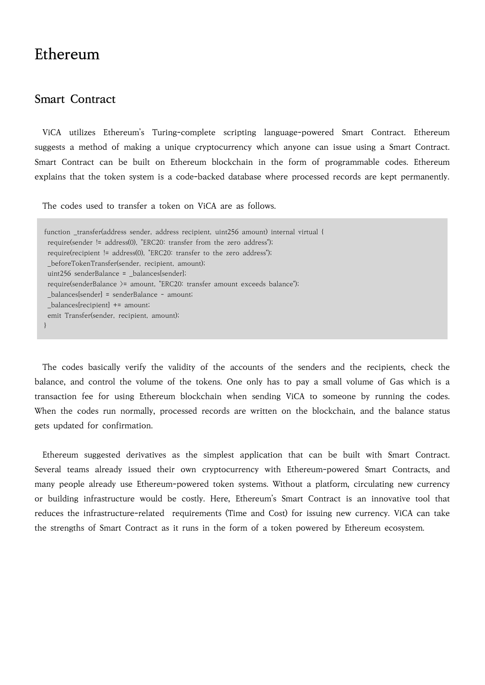### **Ethereum**

#### **Smart Contract**

 ViCA utilizes Ethereum's Turing-complete scripting language-powered Smart Contract. Ethereum suggests a method of making a unique cryptocurrency which anyone can issue using a Smart Contract. Smart Contract can be built on Ethereum blockchain in the form of programmable codes. Ethereum explains that the token system is a code-backed database where processed records are kept permanently.

The codes used to transfer a token on ViCA are as follows.

function \_transfer(address sender, address recipient, uint256 amount) internal virtual { require(sender != address(0), "ERC20: transfer from the zero address"); require(recipient != address(0), "ERC20: transfer to the zero address"); \_beforeTokenTransfer(sender, recipient, amount); uint256 senderBalance = \_balances[sender]; require(senderBalance >= amount, "ERC20: transfer amount exceeds balance"); \_balances[sender] = senderBalance - amount; \_balances[recipient] += amount; emit Transfer(sender, recipient, amount); }

 The codes basically verify the validity of the accounts of the senders and the recipients, check the balance, and control the volume of the tokens. One only has to pay a small volume of Gas which is a transaction fee for using Ethereum blockchain when sending ViCA to someone by running the codes. When the codes run normally, processed records are written on the blockchain, and the balance status gets updated for confirmation.

 Ethereum suggested derivatives as the simplest application that can be built with Smart Contract. Several teams already issued their own cryptocurrency with Ethereum-powered Smart Contracts, and many people already use Ethereum-powered token systems. Without a platform, circulating new currency or building infrastructure would be costly. Here, Ethereum's Smart Contract is an innovative tool that reduces the infrastructure-related requirements (Time and Cost) for issuing new currency. ViCA can take the strengths of Smart Contract as it runs in the form of a token powered by Ethereum ecosystem.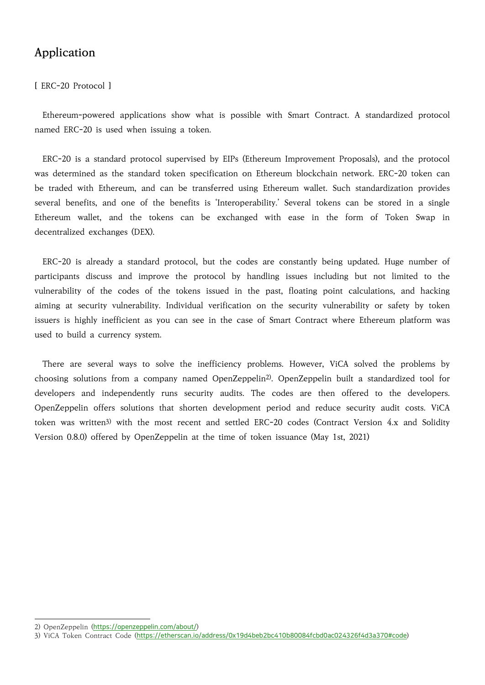### **Application**

#### [ ERC-20 Protocol ]

 Ethereum-powered applications show what is possible with Smart Contract. A standardized protocol named ERC-20 is used when issuing a token.

 ERC-20 is a standard protocol supervised by EIPs (Ethereum Improvement Proposals), and the protocol was determined as the standard token specification on Ethereum blockchain network. ERC-20 token can be traded with Ethereum, and can be transferred using Ethereum wallet. Such standardization provides several benefits, and one of the benefits is 'Interoperability.' Several tokens can be stored in a single Ethereum wallet, and the tokens can be exchanged with ease in the form of Token Swap in decentralized exchanges (DEX).

 ERC-20 is already a standard protocol, but the codes are constantly being updated. Huge number of participants discuss and improve the protocol by handling issues including but not limited to the vulnerability of the codes of the tokens issued in the past, floating point calculations, and hacking aiming at security vulnerability. Individual verification on the security vulnerability or safety by token issuers is highly inefficient as you can see in the case of Smart Contract where Ethereum platform was used to build a currency system.

 There are several ways to solve the inefficiency problems. However, ViCA solved the problems by choosing solutions from a company named OpenZeppelin<sup>2)</sup>. OpenZeppelin built a standardized tool for developers and independently runs security audits. The codes are then offered to the developers. OpenZeppelin offers solutions that shorten development period and reduce security audit costs. ViCA token was written3) with the most recent and settled ERC-20 codes (Contract Version 4.x and Solidity Version 0.8.0) offered by OpenZeppelin at the time of token issuance (May 1st, 2021)

<sup>2)</sup> OpenZeppelin (https://openzeppelin.com/about/)

<sup>3)</sup> ViCA Token Contract Code (https://etherscan.io/address/0x19d4beb2bc410b80084fcbd0ac024326f4d3a370#code)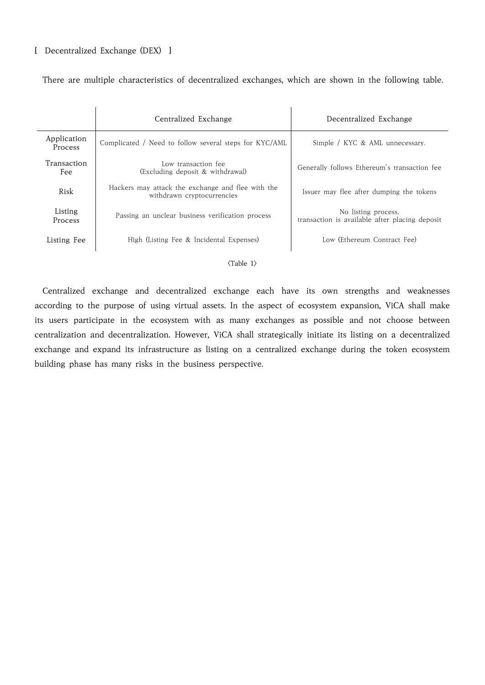#### [ Decentralized Exchange (DEX) ]

There are multiple characteristics of decentralized exchanges, which are shown in the following table.

|                               | Centralized Exchange                                                            | Decentralized Exchange                                                |
|-------------------------------|---------------------------------------------------------------------------------|-----------------------------------------------------------------------|
| Application<br><b>Process</b> | Complicated / Need to follow several steps for KYC/AML                          | Simple / KYC & AML unnecessary.                                       |
| Transaction<br>Fee            | Low transaction fee<br>(Excluding deposit & withdrawal)                         | Generally follows Ethereum's transaction fee                          |
| Risk                          | Hackers may attack the exchange and flee with the<br>withdrawn cryptocurrencies | Issuer may flee after dumping the tokens                              |
| Listing<br>Process            | Passing an unclear business verification process                                | No listing process,<br>transaction is available after placing deposit |
| Listing Fee                   | High (Listing Fee & Incidental Expenses)                                        | Low (Ethereum Contract Fee)                                           |

#### <Table 1>

 Centralized exchange and decentralized exchange each have its own strengths and weaknesses according to the purpose of using virtual assets. In the aspect of ecosystem expansion, ViCA shall make its users participate in the ecosystem with as many exchanges as possible and not choose between centralization and decentralization. However, ViCA shall strategically initiate its listing on a decentralized exchange and expand its infrastructure as listing on a centralized exchange during the token ecosystem building phase has many risks in the business perspective.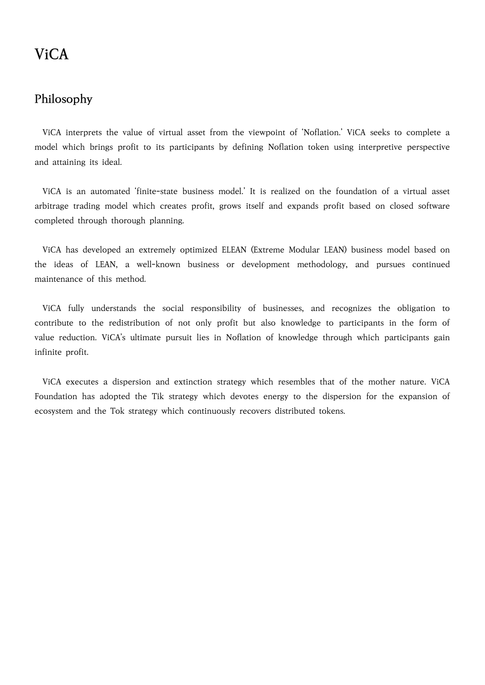### **Philosophy**

 ViCA interprets the value of virtual asset from the viewpoint of 'Noflation.' ViCA seeks to complete a model which brings profit to its participants by defining Noflation token using interpretive perspective and attaining its ideal.

 ViCA is an automated 'finite-state business model.' It is realized on the foundation of a virtual asset arbitrage trading model which creates profit, grows itself and expands profit based on closed software completed through thorough planning.

 ViCA has developed an extremely optimized ELEAN (Extreme Modular LEAN) business model based on the ideas of LEAN, a well-known business or development methodology, and pursues continued maintenance of this method.

 ViCA fully understands the social responsibility of businesses, and recognizes the obligation to contribute to the redistribution of not only profit but also knowledge to participants in the form of value reduction. ViCA's ultimate pursuit lies in Noflation of knowledge through which participants gain infinite profit.

 ViCA executes a dispersion and extinction strategy which resembles that of the mother nature. ViCA Foundation has adopted the Tik strategy which devotes energy to the dispersion for the expansion of ecosystem and the Tok strategy which continuously recovers distributed tokens.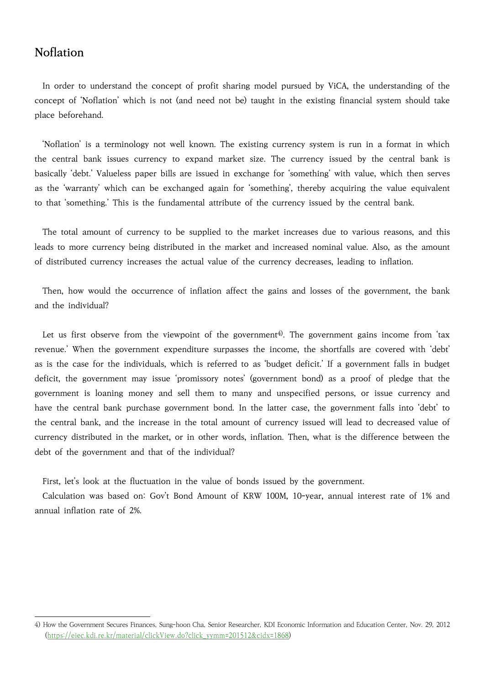#### **Noflation**

 In order to understand the concept of profit sharing model pursued by ViCA, the understanding of the concept of 'Noflation' which is not (and need not be) taught in the existing financial system should take place beforehand.

 'Noflation' is a terminology not well known. The existing currency system is run in a format in which the central bank issues currency to expand market size. The currency issued by the central bank is basically 'debt.' Valueless paper bills are issued in exchange for 'something' with value, which then serves as the 'warranty' which can be exchanged again for 'something', thereby acquiring the value equivalent to that 'something.' This is the fundamental attribute of the currency issued by the central bank.

 The total amount of currency to be supplied to the market increases due to various reasons, and this leads to more currency being distributed in the market and increased nominal value. Also, as the amount of distributed currency increases the actual value of the currency decreases, leading to inflation.

 Then, how would the occurrence of inflation affect the gains and losses of the government, the bank and the individual?

Let us first observe from the viewpoint of the government<sup>4)</sup>. The government gains income from 'tax revenue.' When the government expenditure surpasses the income, the shortfalls are covered with 'debt' as is the case for the individuals, which is referred to as 'budget deficit.' If a government falls in budget deficit, the government may issue 'promissory notes' (government bond) as a proof of pledge that the government is loaning money and sell them to many and unspecified persons, or issue currency and have the central bank purchase government bond. In the latter case, the government falls into 'debt' to the central bank, and the increase in the total amount of currency issued will lead to decreased value of currency distributed in the market, or in other words, inflation. Then, what is the difference between the debt of the government and that of the individual?

 First, let's look at the fluctuation in the value of bonds issued by the government. Calculation was based on: Gov't Bond Amount of KRW 100M, 10-year, annual interest rate of 1% and annual inflation rate of 2%.

<sup>4)</sup> How the Government Secures Finances, Sung-hoon Cha, Senior Researcher, KDI Economic Information and Education Center, Nov. 29, 2012 (https://eiec.kdi.re.kr/material/clickView.do?click\_yymm=201512&cidx=1868)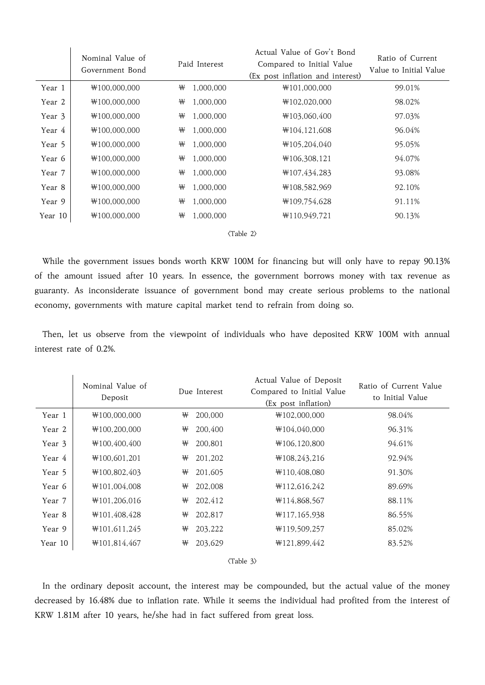|         | Nominal Value of<br>Government Bond | Paid Interest  | Actual Value of Gov't Bond<br>Compared to Initial Value<br>(Ex post inflation and interest) | Ratio of Current<br>Value to Initial Value |
|---------|-------------------------------------|----------------|---------------------------------------------------------------------------------------------|--------------------------------------------|
| Year 1  | ₩100,000,000                        | 1,000,000<br>₩ | ₩101,000,000                                                                                | 99.01%                                     |
| Year 2  | ₩100,000,000                        | 1,000,000<br>₩ | ₩102,020,000                                                                                | 98.02%                                     |
| Year 3  | $\text{W100,000,000}$               | 1,000,000<br>₩ | ₩103,060,400                                                                                | 97.03%                                     |
| Year 4  | ₩100,000,000                        | 1,000,000<br>₩ | ₩104,121,608                                                                                | 96.04%                                     |
| Year 5  | $\text{W100,000,000}$               | 1,000,000<br>₩ | ₩105,204,040                                                                                | 95.05%                                     |
| Year 6  | $\text{W100,000,000}$               | 1,000,000<br>₩ | ₩106,308,121                                                                                | 94.07%                                     |
| Year 7  | $\text{W100,000,000}$               | 1,000,000<br>₩ | ₩107,434,283                                                                                | 93.08%                                     |
| Year 8  | ₩100,000,000                        | 1,000,000<br>₩ | ₩108,582,969                                                                                | 92.10%                                     |
| Year 9  | $\text{W100,000,000}$               | 1,000,000<br>₩ | ₩109,754,628                                                                                | 91.11%                                     |
| Year 10 | ₩100,000,000                        | 1,000,000<br>₩ | ₩110,949,721                                                                                | 90.13%                                     |

<Table 2>

 While the government issues bonds worth KRW 100M for financing but will only have to repay 90.13% of the amount issued after 10 years. In essence, the government borrows money with tax revenue as guaranty. As inconsiderate issuance of government bond may create serious problems to the national economy, governments with mature capital market tend to refrain from doing so.

 Then, let us observe from the viewpoint of individuals who have deposited KRW 100M with annual interest rate of 0.2%.

|         | Nominal Value of<br>Deposit |   | Due Interest | Actual Value of Deposit<br>Compared to Initial Value<br>(Ex post inflation) | Ratio of Current Value<br>to Initial Value |
|---------|-----------------------------|---|--------------|-----------------------------------------------------------------------------|--------------------------------------------|
| Year 1  | ₩100,000,000                | ₩ | 200,000      | ₩102,000,000                                                                | 98.04%                                     |
| Year 2  | $\text{W100,200,000}$       | ₩ | 200,400      | ₩104,040,000                                                                | 96.31%                                     |
| Year 3  | $\text{W100,}400,400$       | ₩ | 200,801      | ₩106,120,800                                                                | 94.61%                                     |
| Year 4  | $\text{W100,}601,201$       | ₩ | 201,202      | ₩108,243,216                                                                | 92.94%                                     |
| Year 5  | ₩100,802,403                | ₩ | 201,605      | ₩110,408,080                                                                | 91.30%                                     |
| Year 6  | ₩101,004,008                | ₩ | 202,008      | ₩112,616,242                                                                | 89.69%                                     |
| Year 7  | ₩101,206,016                | ₩ | 202,412      | ₩114,868,567                                                                | 88.11%                                     |
| Year 8  | ₩101,408,428                | ₩ | 202,817      | ₩117,165,938                                                                | 86.55%                                     |
| Year 9  | ₩101,611,245                | ₩ | 203,222      | ₩119,509,257                                                                | 85.02%                                     |
| Year 10 | ₩101,814,467                | ₩ | 203,629      | ₩121,899,442                                                                | 83.52%                                     |
|         |                             |   |              | $\langle$ Table 3 $\rangle$                                                 |                                            |

 In the ordinary deposit account, the interest may be compounded, but the actual value of the money decreased by 16.48% due to inflation rate. While it seems the individual had profited from the interest of KRW 1.81M after 10 years, he/she had in fact suffered from great loss.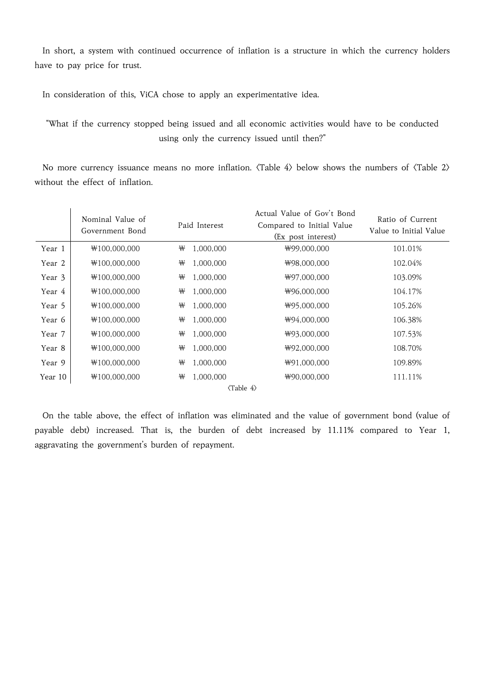In short, a system with continued occurrence of inflation is a structure in which the currency holders have to pay price for trust.

In consideration of this, ViCA chose to apply an experimentative idea.

"What if the currency stopped being issued and all economic activities would have to be conducted using only the currency issued until then?"

 No more currency issuance means no more inflation. <Table 4> below shows the numbers of <Table 2> without the effect of inflation.

|         | Nominal Value of<br>Government Bond |   | Paid Interest | Actual Value of Gov't Bond<br>Compared to Initial Value<br>(Ex post interest) | Ratio of Current<br>Value to Initial Value |
|---------|-------------------------------------|---|---------------|-------------------------------------------------------------------------------|--------------------------------------------|
| Year 1  | $\text{W100,000,000}$               | ₩ | 1,000,000     | ₩99,000,000                                                                   | 101.01%                                    |
| Year 2  | $\text{W100,000,000}$               | ₩ | 1,000,000     | ₩98,000,000                                                                   | 102.04%                                    |
| Year 3  | $\text{W100,000,000}$               | ₩ | 1,000,000     | ₩97,000,000                                                                   | 103.09%                                    |
| Year 4  | $\text{W100,000,000}$               | ₩ | 1,000,000     | ₩96,000,000                                                                   | 104.17%                                    |
| Year 5  | $\text{W100,000,000}$               | ₩ | 1,000,000     | ₩95,000,000                                                                   | 105.26%                                    |
| Year 6  | $\text{W100,000,000}$               | ₩ | 1,000,000     | ₩94,000,000                                                                   | 106.38%                                    |
| Year 7  | $\text{W100,000,000}$               | ₩ | 1,000,000     | ₩93,000,000                                                                   | 107.53%                                    |
| Year 8  | $\text{W100,000,000}$               | ₩ | 1,000,000     | ₩92,000,000                                                                   | 108.70%                                    |
| Year 9  | $\text{W100,000,000}$               | ₩ | 1,000,000     | ₩91,000,000                                                                   | 109.89%                                    |
| Year 10 | $\text{W100,000,000}$               | ₩ | 1,000,000     | ₩90,000,000                                                                   | 111.11%                                    |
|         |                                     |   |               | $\langle$ Table 4 $\rangle$                                                   |                                            |

 On the table above, the effect of inflation was eliminated and the value of government bond (value of payable debt) increased. That is, the burden of debt increased by 11.11% compared to Year 1, aggravating the government's burden of repayment.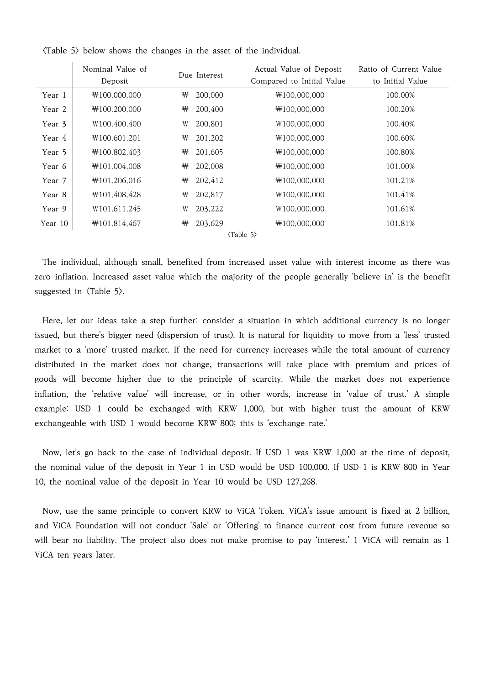<Table 5> below shows the changes in the asset of the individual.

|         | Nominal Value of<br>Deposit |   | Due Interest | Actual Value of Deposit<br>Compared to Initial Value | Ratio of Current Value<br>to Initial Value |
|---------|-----------------------------|---|--------------|------------------------------------------------------|--------------------------------------------|
| Year 1  | ₩100,000,000                | ₩ | 200,000      | ₩100,000,000                                         | 100.00%                                    |
| Year 2  | ₩100,200,000                | ₩ | 200,400      | ₩100,000,000                                         | 100.20%                                    |
| Year 3  | ₩100,400,400                | ₩ | 200,801      | ₩100,000,000                                         | 100.40%                                    |
| Year 4  | ₩100,601,201                | ₩ | 201,202      | ₩100,000,000                                         | 100.60%                                    |
| Year 5  | ₩100,802,403                | ₩ | 201,605      | ₩100,000,000                                         | 100.80%                                    |
| Year 6  | $\text{W101,004,008}$       | ₩ | 202,008      | $\text{W100,000,000}$                                | 101.00%                                    |
| Year 7  | ₩101,206,016                | ₩ | 202,412      | ₩100,000,000                                         | 101.21%                                    |
| Year 8  | ₩101,408,428                | ₩ | 202,817      | ₩100,000,000                                         | 101.41%                                    |
| Year 9  | ₩101,611,245                | ₩ | 203,222      | ₩100,000,000                                         | 101.61%                                    |
| Year 10 | ₩101,814,467                | ₩ | 203,629      | ₩100,000,000                                         | 101.81%                                    |
|         |                             |   |              | $\langle$ Table 5 $\rangle$                          |                                            |

 The individual, although small, benefited from increased asset value with interest income as there was zero inflation. Increased asset value which the majority of the people generally 'believe in' is the benefit suggested in <Table 5>.

 Here, let our ideas take a step further: consider a situation in which additional currency is no longer issued, but there's bigger need (dispersion of trust). It is natural for liquidity to move from a 'less' trusted market to a 'more' trusted market. If the need for currency increases while the total amount of currency distributed in the market does not change, transactions will take place with premium and prices of goods will become higher due to the principle of scarcity. While the market does not experience inflation, the 'relative value' will increase, or in other words, increase in 'value of trust.' A simple example: USD 1 could be exchanged with KRW 1,000, but with higher trust the amount of KRW exchangeable with USD 1 would become KRW 800; this is 'exchange rate.'

 Now, let's go back to the case of individual deposit. If USD 1 was KRW 1,000 at the time of deposit, the nominal value of the deposit in Year 1 in USD would be USD 100,000. If USD 1 is KRW 800 in Year 10, the nominal value of the deposit in Year 10 would be USD 127,268.

 Now, use the same principle to convert KRW to ViCA Token. ViCA's issue amount is fixed at 2 billion, and ViCA Foundation will not conduct 'Sale' or 'Offering' to finance current cost from future revenue so will bear no liability. The project also does not make promise to pay 'interest.' 1 ViCA will remain as 1 ViCA ten years later.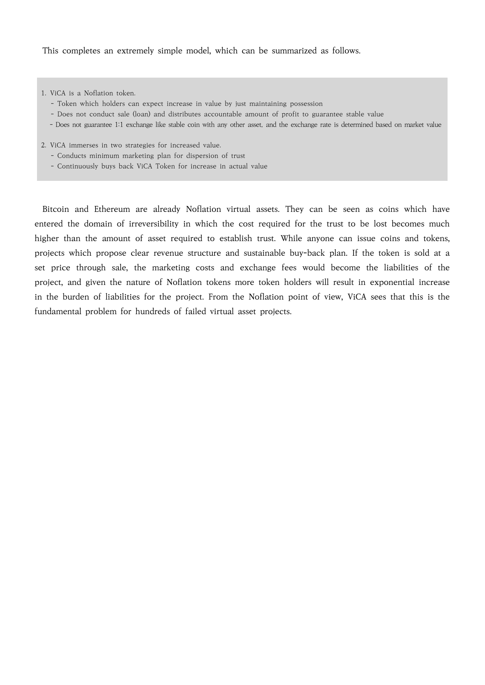This completes an extremely simple model, which can be summarized as follows.

- 1. ViCA is a Noflation token.
	- Token which holders can expect increase in value by just maintaining possession
	- Does not conduct sale (loan) and distributes accountable amount of profit to guarantee stable value
	- Does not guarantee 1:1 exchange like stable coin with any other asset, and the exchange rate is determined based on market value

2. ViCA immerses in two strategies for increased value.

- Conducts minimum marketing plan for dispersion of trust
- Continuously buys back ViCA Token for increase in actual value

 Bitcoin and Ethereum are already Noflation virtual assets. They can be seen as coins which have entered the domain of irreversibility in which the cost required for the trust to be lost becomes much higher than the amount of asset required to establish trust. While anyone can issue coins and tokens, projects which propose clear revenue structure and sustainable buy-back plan. If the token is sold at a set price through sale, the marketing costs and exchange fees would become the liabilities of the project, and given the nature of Noflation tokens more token holders will result in exponential increase in the burden of liabilities for the project. From the Noflation point of view, ViCA sees that this is the fundamental problem for hundreds of failed virtual asset projects.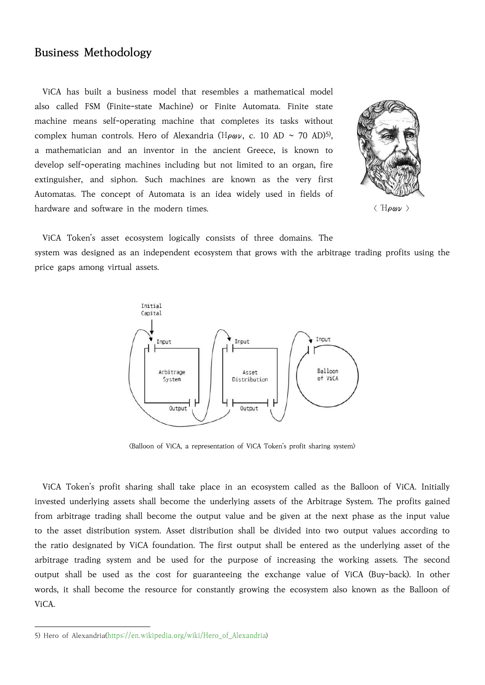#### **Business Methodology**

 ViCA has built a business model that resembles a mathematical model also called FSM (Finite-state Machine) or Finite Automata. Finite state machine means self-operating machine that completes its tasks without complex human controls. Hero of Alexandria (Ή $\rho \omega \nu$ , c. 10 AD ~ 70 AD)<sup>5)</sup>, a mathematician and an inventor in the ancient Greece, is known to develop self-operating machines including but not limited to an organ, fire extinguisher, and siphon. Such machines are known as the very first Automatas. The concept of Automata is an idea widely used in fields of hardware and software in the modern times.



 $\langle$  Ήρων  $\rangle$ 

 ViCA Token's asset ecosystem logically consists of three domains. The system was designed as an independent ecosystem that grows with the arbitrage trading profits using the price gaps among virtual assets.



<Balloon of ViCA, a representation of ViCA Token's profit sharing system>

 ViCA Token's profit sharing shall take place in an ecosystem called as the Balloon of ViCA. Initially invested underlying assets shall become the underlying assets of the Arbitrage System. The profits gained from arbitrage trading shall become the output value and be given at the next phase as the input value to the asset distribution system. Asset distribution shall be divided into two output values according to the ratio designated by ViCA foundation. The first output shall be entered as the underlying asset of the arbitrage trading system and be used for the purpose of increasing the working assets. The second output shall be used as the cost for guaranteeing the exchange value of ViCA (Buy-back). In other words, it shall become the resource for constantly growing the ecosystem also known as the Balloon of ViCA.

<sup>5)</sup> Hero of Alexandria(https://en.wikipedia.org/wiki/Hero\_of\_Alexandria)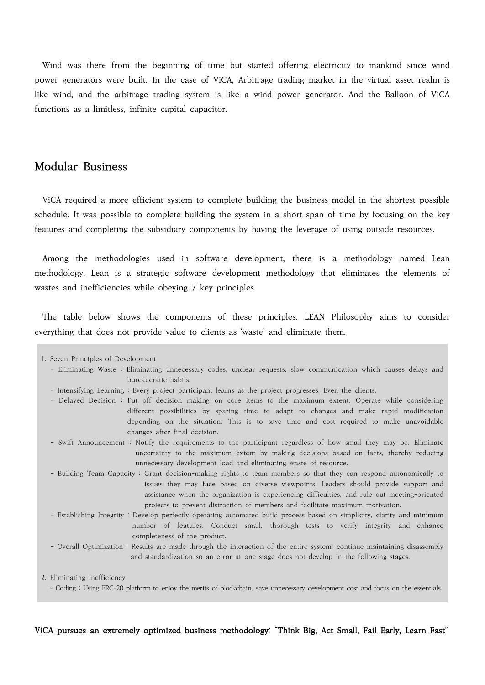Wind was there from the beginning of time but started offering electricity to mankind since wind power generators were built. In the case of ViCA, Arbitrage trading market in the virtual asset realm is like wind, and the arbitrage trading system is like a wind power generator. And the Balloon of ViCA functions as a limitless, infinite capital capacitor.

#### **Modular Business**

 ViCA required a more efficient system to complete building the business model in the shortest possible schedule. It was possible to complete building the system in a short span of time by focusing on the key features and completing the subsidiary components by having the leverage of using outside resources.

 Among the methodologies used in software development, there is a methodology named Lean methodology. Lean is a strategic software development methodology that eliminates the elements of wastes and inefficiencies while obeying 7 key principles.

 The table below shows the components of these principles. LEAN Philosophy aims to consider everything that does not provide value to clients as 'waste' and eliminate them.

| 1. Seven Principles of Development                                                                                                                                                                                                                                                                                                                                                                                                                                                                                  |
|---------------------------------------------------------------------------------------------------------------------------------------------------------------------------------------------------------------------------------------------------------------------------------------------------------------------------------------------------------------------------------------------------------------------------------------------------------------------------------------------------------------------|
| - Eliminating Waste: Eliminating unnecessary codes, unclear requests, slow communication which causes delays and<br>bureaucratic habits.                                                                                                                                                                                                                                                                                                                                                                            |
| - Intensifying Learning: Every project participant learns as the project progresses. Even the clients.                                                                                                                                                                                                                                                                                                                                                                                                              |
| - Delayed Decision : Put off decision making on core items to the maximum extent. Operate while considering                                                                                                                                                                                                                                                                                                                                                                                                         |
| different possibilities by sparing time to adapt to changes and make rapid modification                                                                                                                                                                                                                                                                                                                                                                                                                             |
| depending on the situation. This is to save time and cost required to make unavoidable                                                                                                                                                                                                                                                                                                                                                                                                                              |
| changes after final decision.                                                                                                                                                                                                                                                                                                                                                                                                                                                                                       |
| - Swift Announcement: Notify the requirements to the participant regardless of how small they may be. Eliminate                                                                                                                                                                                                                                                                                                                                                                                                     |
| uncertainty to the maximum extent by making decisions based on facts, thereby reducing                                                                                                                                                                                                                                                                                                                                                                                                                              |
| unnecessary development load and eliminating waste of resource.                                                                                                                                                                                                                                                                                                                                                                                                                                                     |
| - Building Team Capacity: Grant decision-making rights to team members so that they can respond autonomically to<br>issues they may face based on diverse viewpoints. Leaders should provide support and<br>assistance when the organization is experiencing difficulties, and rule out meeting-oriented<br>projects to prevent distraction of members and facilitate maximum motivation.<br>- Establishing Integrity: Develop perfectly operating automated build process based on simplicity, clarity and minimum |
| number of features. Conduct small, thorough tests to verify integrity and enhance<br>completeness of the product.                                                                                                                                                                                                                                                                                                                                                                                                   |
| - Overall Optimization: Results are made through the interaction of the entire system; continue maintaining disassembly<br>and standardization so an error at one stage does not develop in the following stages.                                                                                                                                                                                                                                                                                                   |
| 2. Eliminating Inefficiency                                                                                                                                                                                                                                                                                                                                                                                                                                                                                         |
| - Coding: Using ERC-20 platform to enjoy the merits of blockchain, save unnecessary development cost and focus on the essentials.                                                                                                                                                                                                                                                                                                                                                                                   |
|                                                                                                                                                                                                                                                                                                                                                                                                                                                                                                                     |

ViCA pursues an extremely optimized business methodology: "Think Big, Act Small, Fail Early, Learn Fast"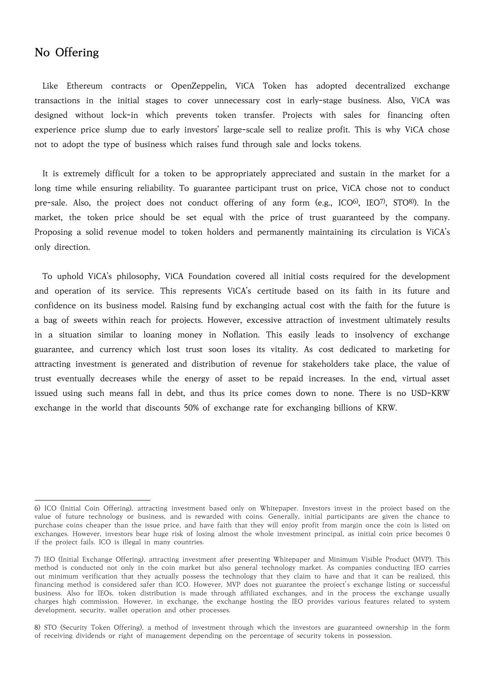#### **No Offering**

 Like Ethereum contracts or OpenZeppelin, ViCA Token has adopted decentralized exchange transactions in the initial stages to cover unnecessary cost in early-stage business. Also, ViCA was designed without lock-in which prevents token transfer. Projects with sales for financing often experience price slump due to early investors' large-scale sell to realize profit. This is why ViCA chose not to adopt the type of business which raises fund through sale and locks tokens.

 It is extremely difficult for a token to be appropriately appreciated and sustain in the market for a long time while ensuring reliability. To guarantee participant trust on price, ViCA chose not to conduct pre-sale. Also, the project does not conduct offering of any form (e.g., ICO6), IEO7), STO8)). In the market, the token price should be set equal with the price of trust guaranteed by the company. Proposing a solid revenue model to token holders and permanently maintaining its circulation is ViCA's only direction.

 To uphold ViCA's philosophy, ViCA Foundation covered all initial costs required for the development and operation of its service. This represents ViCA's certitude based on its faith in its future and confidence on its business model. Raising fund by exchanging actual cost with the faith for the future is a bag of sweets within reach for projects. However, excessive attraction of investment ultimately results in a situation similar to loaning money in Noflation. This easily leads to insolvency of exchange guarantee, and currency which lost trust soon loses its vitality. As cost dedicated to marketing for attracting investment is generated and distribution of revenue for stakeholders take place, the value of trust eventually decreases while the energy of asset to be repaid increases. In the end, virtual asset issued using such means fall in debt, and thus its price comes down to none. There is no USD-KRW exchange in the world that discounts 50% of exchange rate for exchanging billions of KRW.

<sup>6)</sup> ICO (Initial Coin Offering), attracting investment based only on Whitepaper. Investors invest in the project based on the value of future technology or business, and is rewarded with coins. Generally, initial participants are given the chance to purchase coins cheaper than the issue price, and have faith that they will enjoy profit from margin once the coin is listed on<br>exchanges. However, investors bear huge risk of losing almost the whole investment principal, a if the project fails. ICO is illegal in many countries.

<sup>7)</sup> IEO (Initial Exchange Offering), attracting investment after presenting Whitepaper and Minimum Visible Product (MVP). This method is conducted not only in the coin market but also general technology market. As companies conducting IEO carries out minimum verification that they actually possess the technology that they claim to have and that it can be realized, this financing method is considered safer than ICO. However, MVP does not guarantee the project's exchange listing or successful business. Also for IEOs, token distribution is made through affiliated exchanges, and in the process the exchange usually charges high commission. However, in exchange, the exchange hosting the IEO provides various features related to system development, security, wallet operation and other processes.

<sup>8)</sup> STO (Security Token Offering), a method of investment through which the investors are guaranteed ownership in the form of receiving dividends or right of management depending on the percentage of security tokens in possession.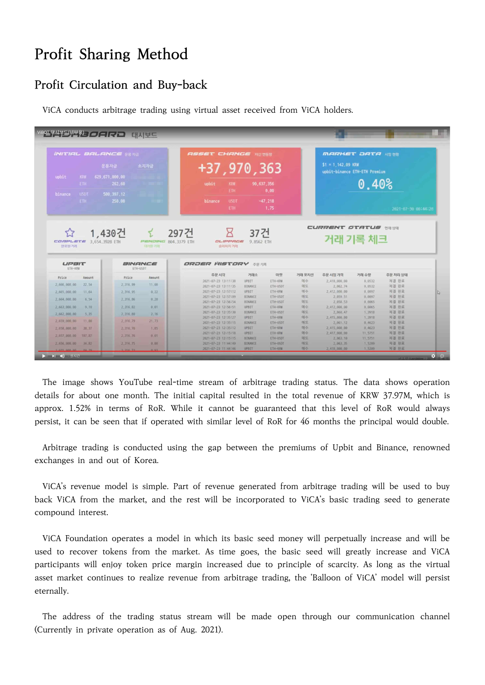## **Profit Sharing Method**

### **Profit Circulation and Buy-back**

ViCA conducts arbitrage trading using virtual asset received from ViCA holders.

|                             |                                                                   |                                            | $+37,970,363$                               |          | $$1 = 1,142,09$ KRW<br>upbit-binance ETH-ETH Premium | <b>MARKET DATA AN MS</b> |
|-----------------------------|-------------------------------------------------------------------|--------------------------------------------|---------------------------------------------|----------|------------------------------------------------------|--------------------------|
| upbit<br><b>KRW</b><br>ETH. | 629.671.000.00<br>262.60                                          | upbit<br>KRW<br><b>ETH</b>                 | 90, 637, 356<br>0.00                        |          | 0.40%                                                |                          |
| <b>USDT</b><br>binance      | 500, 397, 12<br>250.00                                            | <b>USDT</b>                                | $-47.218$                                   |          |                                                      |                          |
| ETH_                        |                                                                   | binance<br><b>ETH</b>                      | 1.75                                        |          |                                                      | 2021-07-30 00:44:28      |
|                             |                                                                   |                                            |                                             |          | <b>CURRENT STATUS MANU</b>                           |                          |
| ☆                           | 1,430건                                                            | 297건<br>R                                  | 37건                                         |          |                                                      |                          |
|                             |                                                                   |                                            |                                             |          |                                                      |                          |
| 알료된 거래                      | 3.654.3928 ETH<br><b>PENDING 804.3379 ETH</b><br><b>U215 2121</b> | <b>SLIPPAGE</b><br>슬리피지 거래                 | 9.8562 ETH                                  |          | 거래 기록 체크                                             |                          |
| COMPLETE<br><b>UPBIT</b>    | BINANCE                                                           | <b>ORDER HISTORY ZEZIS</b>                 |                                             |          |                                                      |                          |
| ETH-KRW                     | ETH-USDT                                                          | 주문시각                                       | 거래소<br>마켓                                   | 거래 포지션   | 주문 시점 가격<br>거래 수량                                    | 주문 처리 상태                 |
| Price<br>Amount             | Price<br>Amount                                                   | 2021-07-23 13:11:38                        | <b>UPBIT</b><br>ETH-KRW                     | 매수       | 2,418,000.00<br>0,0532                               | 체결 완료                    |
| 2.666.000.00<br>22.54       | 2.316.99<br>11.88                                                 | 2021-07-23 13:11:35                        | BINANCE<br>ETH-USDT                         | 매도       | 0,0532<br>2,062,74                                   | 체결 완료                    |
| 2,665,008,00<br>11.64       | 2,316,95<br>0.22                                                  | 2021-07-23 12:57:12                        | UPBIT<br>ETH-KRW                            | 매수       | 2,412,000,00<br>0,0097                               | 체결 완료                    |
| 2.664.888.88<br>6.54        | 2.316.86<br>$\theta$ 20                                           | 2021-07-23 12:57:09                        | BINANCE<br>ETH-USDT                         | 매도       | 2.059.51<br>0,0097                                   | 체결 완료                    |
|                             |                                                                   | 2021-07-23 12:56:54                        | BINANCE<br>ETH-USDT                         | 매도       | 2.058.53<br>0,0065                                   | 체결 완료                    |
| 2.663.000.00<br>9.10        | 2,316.82<br>0.01                                                  | 2021-07-23 12:56:51                        | <b>UPBIT</b><br>ETH-KRW                     | 매수       | 2,412,000,00<br>0,0065                               | 체결 완료                    |
| 2.662.000.00<br>5.35        | 2,316.80<br>2.16                                                  | 2021-07-23 12:35:30                        | BINANCE<br>ETH-USDT                         | 매도       | 2.060.47<br>1,3918                                   | 체결 완료                    |
| 2,659,000,00<br>11.00       | 2,316,79<br>21.73                                                 | 2021-07-23 12:35:27                        | <b>UPBIT</b><br>ETH-KRW                     | 매수       | 2,415,000,00<br>1,3918                               | 체결 완료                    |
|                             |                                                                   | 2021-07-23 12:35:15                        | BINANCE<br>ETH-USDT                         | 매도       | 2,061,12<br>0,4623                                   | 체결 완료                    |
| 2.658.000.00<br>38,37       | 2,316,78<br>1.85                                                  | 2021-07-23 12:35:12                        | UPBIT<br>ETH-KRW<br><b>UPBIT</b><br>ETH-KRW | 매수<br>매수 | 2,415,000,00<br>0,4623                               | 체결 완료                    |
| 2,657,000.00<br>187.87      | 2.316.76<br>0.01                                                  | 2021-07-23 12:15:18<br>2021-07-23 12:15:15 | BINANCE<br>ETH-USDT                         | 매도       | 2,417,000,00<br>11,5751<br>2,063,10<br>11,5751       | 체결 완료<br>체결 완료           |

 The image shows YouTube real-time stream of arbitrage trading status. The data shows operation details for about one month. The initial capital resulted in the total revenue of KRW 37.97M, which is approx. 1.52% in terms of RoR. While it cannot be guaranteed that this level of RoR would always persist, it can be seen that if operated with similar level of RoR for 46 months the principal would double.

 Arbitrage trading is conducted using the gap between the premiums of Upbit and Binance, renowned exchanges in and out of Korea.

 ViCA's revenue model is simple. Part of revenue generated from arbitrage trading will be used to buy back ViCA from the market, and the rest will be incorporated to ViCA's basic trading seed to generate compound interest.

 ViCA Foundation operates a model in which its basic seed money will perpetually increase and will be used to recover tokens from the market. As time goes, the basic seed will greatly increase and ViCA participants will enjoy token price margin increased due to principle of scarcity. As long as the virtual asset market continues to realize revenue from arbitrage trading, the 'Balloon of ViCA' model will persist eternally.

 The address of the trading status stream will be made open through our communication channel (Currently in private operation as of Aug. 2021).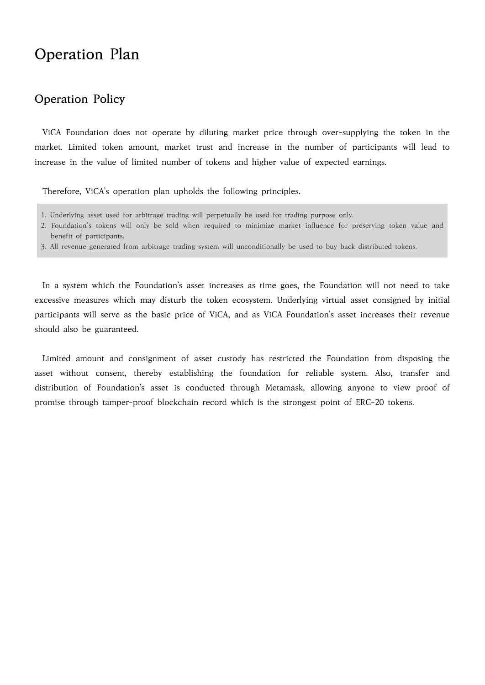## **Operation Plan**

### **Operation Policy**

 ViCA Foundation does not operate by diluting market price through over-supplying the token in the market. Limited token amount, market trust and increase in the number of participants will lead to increase in the value of limited number of tokens and higher value of expected earnings.

Therefore, ViCA's operation plan upholds the following principles.

- 1. Underlying asset used for arbitrage trading will perpetually be used for trading purpose only.
- 2. Foundation's tokens will only be sold when required to minimize market influence for preserving token value and benefit of participants.
- 3. All revenue generated from arbitrage trading system will unconditionally be used to buy back distributed tokens.

 In a system which the Foundation's asset increases as time goes, the Foundation will not need to take excessive measures which may disturb the token ecosystem. Underlying virtual asset consigned by initial participants will serve as the basic price of ViCA, and as ViCA Foundation's asset increases their revenue should also be guaranteed.

 Limited amount and consignment of asset custody has restricted the Foundation from disposing the asset without consent, thereby establishing the foundation for reliable system. Also, transfer and distribution of Foundation's asset is conducted through Metamask, allowing anyone to view proof of promise through tamper-proof blockchain record which is the strongest point of ERC-20 tokens.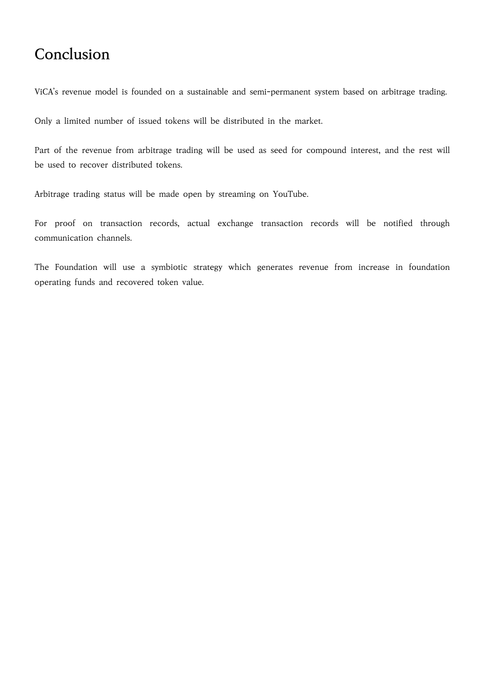## **Conclusion**

ViCA's revenue model is founded on a sustainable and semi-permanent system based on arbitrage trading.

Only a limited number of issued tokens will be distributed in the market.

Part of the revenue from arbitrage trading will be used as seed for compound interest, and the rest will be used to recover distributed tokens.

Arbitrage trading status will be made open by streaming on YouTube.

For proof on transaction records, actual exchange transaction records will be notified through communication channels.

The Foundation will use a symbiotic strategy which generates revenue from increase in foundation operating funds and recovered token value.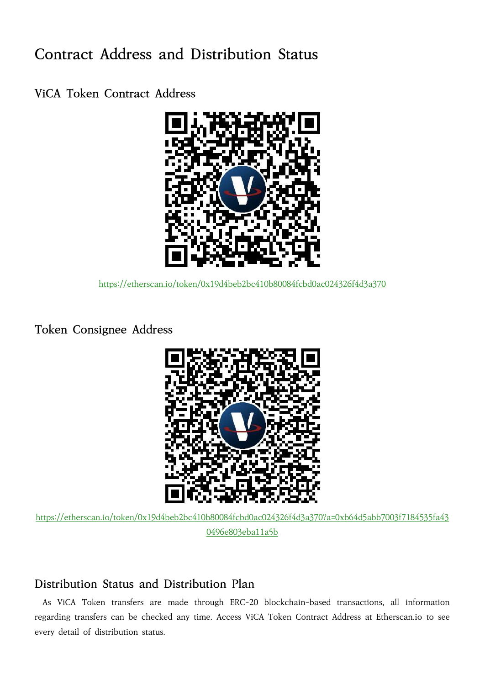## **Contract Address and Distribution Status**

**ViCA Token Contract Address**



https://etherscan.io/token/0x19d4beb2bc410b80084fcbd0ac024326f4d3a370

**Token Consignee Address**



https://etherscan.io/token/0x19d4beb2bc410b80084fcbd0ac024326f4d3a370?a=0xb64d5abb7003f7184535fa43 0496e803eba11a5b

### **Distribution Status and Distribution Plan**

 As ViCA Token transfers are made through ERC-20 blockchain-based transactions, all information regarding transfers can be checked any time. Access ViCA Token Contract Address at Etherscan.io to see every detail of distribution status.